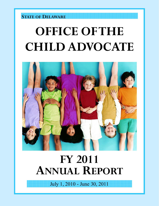### **STATE OF DELAWARE**

# **OFFICE OF THE CHILD ADVOCATE**



# **FY 2011 ANNUAL REPORT**

July 1, 2010 - June 30, 2011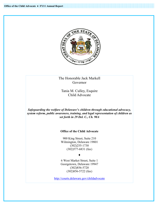

The Honorable Jack Markell Governor

Tania M. Culley, Esquire Child Advocate

*Safeguarding the welfare of Delaware's children through educational advocacy, system reform, public awareness, training, and legal representation of children as set forth in 29 Del. C., Ch. 90A* 

#### **Office of the Child Advocate**

900 King Street, Suite 210 Wilmington, Delaware 19801 (302)255-1730 (302)577-6831 (fax)

#### ♦

6 West Market Street, Suite 1 Georgetown, Delaware 19947 (302)856-5720 (302)856-5722 (fax)

http://courts.delaware.gov/childadvocate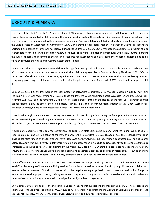### **EXECUTIVE SUMMARY**

The Office of the Child Advocate (OCA) was created in 1999 in response to numerous child deaths in Delaware resulting from child abuse. These cases pointed to deficiencies in the child protection system that could only be remedied through the collaborative efforts of Delaware's many child welfare agencies. The General Assembly determined that an office to oversee these efforts, staff the Child Protection Accountability Commission (CPAC), and provide legal representation on behalf of Delaware's dependent, neglected, and abused children was necessary. Pursuant to 29 Del. C. § 9005A, OCA is mandated to coordinate a program of legal representation for children, to periodically review all relevant child welfare policies and procedures with a view toward improving the lives of children, to recommend changes in procedures for investigating and overseeing the welfare of children, and to develop and provide training to child welfare system professionals.

OCA accomplishes its charge to represent children through four Deputy Child Advocates (DCAs), a substantial and dedicated pool of volunteer attorneys, and strong partnerships with the child-serving agencies in Delaware. During Fiscal Year 2011, OCA received 701 referrals and made 322 attorney appointments, completed 91 case reviews to ensure the child welfare system was adequately protecting the children involved, and provided legal representation for a total of 797 abused and/or neglected children.

On June 30, 2011, 828 children were in the legal custody of Delaware's Department of Services for Children, Youth & Their Families (DSCYF). OCA was representing 485 (59%) of those children, the Court Appointed Special Advocate (CASA) program was representing 322 (39%), and the remaining 21 children (3%) were unrepresented on the last day of the fiscal year, although all but 5 had representation by the time of their Adjudicatory Hearing. The 5 children without representation within 40 days were in Kent or Sussex Counties, where child representation resources continue to be challenged.

Three hundred eighty-one volunteer attorneys represented children through OCA during the fiscal year, with 52 new attorneys trained in 6 training sessions throughout the state. By the end of FY11, OCA was proudly partnering with 177 volunteer attorneys with at least 5 years experience representing children through OCA, and 15 volunteers with at least 10 years experience.

In addition to coordinating the legal representation of children, OCA staff participated in many initiatives to improve policies, procedures, practices and laws on behalf of children, primarily in the role of staff to CPAC. OCA took over the responsibility of coordinating activities funded by the federal Children's Justice Act (CJA) grant, including supervising a contracted CJA Training Coordinator. OCA staff worked diligently to deliver training on mandatory reporting of child abuse, especially to the over 6,000 medical professionals required to receive such training by the March 2011 deadline. OCA staff also continued to support efforts at improving the delivery of independent living, mental health, and educational services to children in foster care, statewide efforts to review child deaths and near deaths, and advocacy efforts on behalf of juveniles convicted of sexual offenses.

OCA staff members met with DFS staff to address issues related to child protection policy and practice in Delaware, and to expand OCA's knowledge of Independent Living services for youth and behavioral interventions for young children and children who have experienced trauma. OCA also partnered with other legal advocacy organizations to improve the availability of legal resources to vulnerable populations by training attorneys to represent, on a *pro bono* basis, vulnerable children and families in a variety of areas, including special education, immigration, and juvenile expungements.

OCA is extremely grateful to all of the individuals and organizations that support the children served by OCA. The assistance and partnership of these entities is critical as OCA strives to fulfill its mission to safeguard the welfare of Delaware's children through educational advocacy, system reform, public awareness, training, and legal representation of children.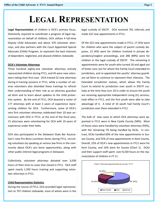## **LEGAL REPRESENTATION**

**Legal Representation** of children is OCA's primary focus. Statutorily required to coordinate a program of legal representation on behalf of children, OCA utilizes 4 full-time Deputy Child Advocates and about 370 volunteer attorneys, and also partners with the Court Appointed Special Advocate (CASA) Program, to represent the best interests of dependent, neglected, and abused children statewide.

#### **OCA's Volunteer Attorneys**

Three hundred eighty-one volunteer attorneys actively represented children during FY11, and 45 were new volunteers taking their first case. OCA trained 52 new attorneys during 6 training sessions in FY11, while a number of veteran volunteers also attended these trainings to refresh their understanding of their role as an attorney guardian *ad litem* and to learn about updates to the child protection system. By the end of FY11, OCA boasted a roster of 177 attorneys with at least 5 years of experience representing children for OCA. Furthermore, some of OCA's very first volunteer attorneys celebrated their 10 year anniversary with OCA in FY11; at the end of the fiscal year, 15 attorneys were volunteering for OCA with 10 years of experience under their belts.

OCA also participated in the Delaware State Bar Association's new Pro Bono Luncheon Series during FY11, recruiting volunteers by speaking at various law firms in the community about OCA's pro bono opportunities, along with other public interest legal programs in Delaware.

Collectively, volunteer attorneys donated over 3,030 hours of their time to cases that closed in FY11. OCA staff spent nearly 1,350 hours training and supporting volunteer attorneys in FY11.

#### **Child Representation Statistics**

During the course of FY11, OCA provided legal representation to 797 children statewide, most of whom were in the legal custody of DSCYF. OCA received 701 referrals and made 322 new appointments in FY11.

Of the 322 new appointments made in FY11, 17 (5%) were for children who were the subject of parent custody disputes, 13 (4%) were for children involved in private dependency/neglect proceedings, and 286 (89%) were for children in the legal custody of DSCYF. The remaining 6 appointments were for youth who turned 18 and aged out of foster care, but for whom the Family Court extended its jurisdiction, and re-appointed the youths' attorney guardians *ad litem* to continue to represent their interests. The Extended Jurisdiction statute, which allows the Family Court to extend its jurisdiction over youth in DSCYF custody at the time they turn 18 in order to ensure the youth are receiving appropriate Independent Living (IL) services, took effect in FY11, and the first youth were able to take advantage of it. A total of 10 youth had Family Court's jurisdiction over them extended in FY11.

The bulk of new cases to which OCA attorneys were appointed in FY11 were in New Castle County (58%). Most of those cases were handled by volunteer attorneys (93%), with the remaining 7% being handled by DCAs. In contrast, DCAs handled 60% of the new appointments in Sussex County, and 55% of new appointments in Kent County. Overall, 25% of OCA's new appointments in FY11 were for Kent County, and 16% were for Sussex (Chart 1). DCAs and their support staff spent over 8,330 hours on the representation of children in FY 11.

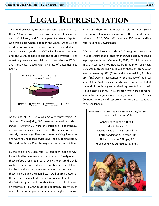## **LEGAL REPRESENTATION**

Two hundred seventy-six OCA cases concluded in FY11. Of those, 13 were private cases involving dependency or neglect of children, and 5 were parent custody disputes. One was a case where, although the youth turned 18 and aged out of foster care, the court retained extended jurisdiction over the youth, and OCA's involvement continued until the youth decided to end the court's oversight. The remaining cases involved children in the custody of DSCYF, and those cases closed with a variety of outcomes (see Chart 2).



At the end of FY11, OCA was actively representing 529 children. The majority, 485, were in the legal custody of DSCYF. Another 20 were the subject of dependency/ neglect proceedings, while 19 were the subject of parent custody proceedings. Five youth were receiving IL services and were having those services overseen by their attorney GAL and the Family Court by way of extended jurisdiction.

By the end of FY11, 385 referrals had been made to OCA to which attorneys were not appointed. Ninety-one of those referrals resulted in case reviews to ensure the child welfare system was adequately protecting the children involved and appropriately responding to the needs of those children and their families. Two hundred sixteen of those referrals resulted in child representation through the CASA Program, while another 35 were resolved before an attorney or a CASA could be appointed. Thirty-seven referrals had no apparent dependency, neglect, or abuse

issues and therefore there was no role for OCA. Seven cases were still pending disposition at the close of the fiscal year. In FY11, OCA staff spent over 470 hours handling referrals and reviewing cases.

OCA worked closely with the CASA Program throughout FY11 to ensure that all children in DSCYF custody received legal representation. On June 30, 2011, 828 children were in DSCYF custody, a 9% increase from the prior fiscal year. OCA was representing 485 (59%) of those children, CASA was representing 322 (39%), and the remaining 21 children (3%) were unrepresented on the last day of the fiscal year. All but 5 of the children who were unrepresented at the end of the fiscal year received representation by their Adjudicatory Hearing. The 5 children who were not represented by the Adjudicatory Hearing were in Kent or Sussex Counties, where child representation resources continue to be challenged.

#### Law Firms That Hosted OCA Trainings and/or Pro Bono Luncheons in FY11:

Connolly Bove Lodge & Hutz LLP Morris James LLP Morris Nichols Arsht & Tunnell LLP Potter Anderson & Corroon LLP Richards, Layton & Finger, P.A. Young Conaway Stargatt & Taylor LLP

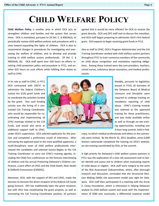## **CHILD WELFARE POLICY**

**Child Welfare Policy** is another area in which OCA acts to strengthen children and families and the system that serves them. OCA is mandated, pursuant to 29 Del. C. § 9005A(2), to periodically review child welfare policies and procedures with a view toward expanding the rights of children. OCA is also to recommend changes in procedures for investigating and overseeing the welfare of children, and to develop and provide training to child welfare system professionals. 29 Del. C. § 9005A(4), (9). OCA staff spent over 420 hours on efforts involving child protection policy and procedure in FY11, and another 625 hours on such efforts while fulfilling their duties as staff to CPAC.

In its role as staff to CPAC, in FY11 OCA contracted with DSCYF to administer the federal Children's Justice Act (CJA) grant funds and to coordinate the activities funded by the grant. One such funding activity was the hiring of a contracted CJA Training Coordinator, who would be responsible for coordinating and implementing all CPAC trainings related to the CJA funds, and would also serve as additional support staff to CPAC,



agreed that it would be more efficient for OCA to receive the grant directly. OCA and DFS staff met to discuss the transition, and OCA staff began preparing to administer OCA's first federal grant. OCA expects to begin receiving grant funds in FY12.

Also as staff to CPAC, OCA's Program Administrator and the CJA Training Coordinator worked with child welfare system partners throughout FY11 to train numerous members of the community on child abuse recognition and mandatory reporting obligations. Among those trained were day care providers, teachers, school nurses, substance abuse counselors, and medical professionals.

> Notably, pursuant to legislation passed in FY10, all licensees of the Delaware Board of Medical Licensure and Discipline were required to undergo training on mandatory reporting of child abuse. CPAC's training module was selected as the approved training for these practitioners, and was made available online as well as through on-site training opportunities, including one 4-hour long summit, held in Feb-

under OCA's supervision. OCA solicited applicants for the position and completed a preliminary round of interviews. After narrowing the applicant pool to the most qualified applicants, a multi-disciplinary team of child welfare professionals interviewed the candidates and selected Jessica Begley as the CJA Training Coordinator to carry out CPAC's training agenda, including the Child First conferences on the forensic interviewing of children and the annual Protecting Delaware's Children conference, a joint effort of CPAC and the Child Death, Near Death & Stillbirth Commission (CDNDSC).

Moreover, OCA, with the support of DFS and CPAC, made the decision to become the direct recipient of the federal CJA funds going forward. DFS has traditionally been the grant recipient, but with OCA now coordinating the grant projects, as well as overseeing the CJA Training Coordinator position, all partners ruary, to which medical professionals and others in the community were invited. By the March 31, 2011 deadline, some 6,000 doctors nationwide completed the training via OCA's website, on-site training coordinated by OCA, or the summit.

A high priority for Delaware's child welfare system partners in FY11 was the exploration of a new risk assessment tool to better identify and assess risk to children when evaluating reports of child abuse or neglect. OCA staff were integral to the work of the Risk Assessment Subcommittee, which, after thorough research and discussion, concluded that the Structured Decision Making (SMD) risk assessment model was right for Delaware. OCA staff then participated in a meeting with the Annie E. Casey Foundation, which is interested in helping Delaware analyze its child welfare system and assist with the implementation of SDM and, eventually, a differential response model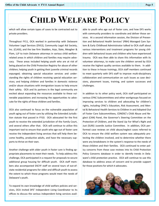# **CHILD WELFARE POLICY**

which will allow certain types of cases to be contracted out to private providers.

Throughout FY11, OCA worked in partnership with Delaware Volunteer Legal Services (DVLS), Community Legal Aid Society, Inc. (CLASI), and the law firm Skadden, Arps, Slate, Meagher & Flom, LLP to train Delaware attorneys in various child welfarerelated areas in which children and families may require advocacy. These areas included helping youth who are at risk of being placed on the Child Protection Registry for abuse of other children; helping youth in getting their juvenile criminal records expunged; obtaining special education services and understanding the rights of children receiving special education services; and helping children and families in domestic violence and/or abuse situations with immigration issues to help ensure their safety. OCA and its partners in the legal community are excited about expanding the resources available to these vulnerable populations and increasing the opportunities to advocate for the rights of these children and families.

OCA also continued to focus on the vulnerable population of youth aging out of foster care by utilizing the Extended Jurisdiction statute that passed in FY10. OCA advocated for the first youth to receive the extended jurisdiction of the Family Court, and several others after that. OCA will continue to utilize this important tool to ensure that youth who age out of foster care receive the independent living services that will help them become healthy, productive adults, and have the necessary supports to thrive on their own.

Another challenge with older youth in foster care is finding appropriate placements to meet their needs. To help address this challenge, OCA participated in a request for proposals to secure additional group housing for difficult youth. OCA staff members also accompanied DSCYF staff on several tours of out-ofstate residential programs for older and difficult youth to assess the extent to which those programs would meet the needs of Delaware's youth.

To expand its own knowledge of child welfare policies and services, OCA invited DFS' Independent Living Coordinator to its offices to discuss the various independent living services available to youth who age out of foster care, and how DFS works with community providers to coordinate and deliver those services. At a second information session, the Division of Prevention and Behavioral Health Services' (PBH) Managed Care System & Early Childhood Administrator talked to OCA staff about various interventions and treatment programs for young children with behavioral issues and children who have experienced trauma. OCA was then able to share this information with its volunteer attorneys, to make sure the children served by OCA receive the highest quality services available to them. In addition to these in-house trainings, OCA staff members continued to meet quarterly with DFS staff to improve multi-disciplinary collaboration and communication on such issues as case decisions, placement issues, training, and system successes and challenges.

In addition to its other policy work, OCA staff participated on various CPAC Subcommittees and other workgroups focused on improving services to children and advocating for children's rights, including CPAC's Education, Risk Assessment, and Mental & Behavioral Health Services to Children in and Adopted Out of Foster Care Subcommittees, CDNDSC's Child Abuse and Neglect (CAN) Panel, the Governor's Steering Committee on the Protection of Children, and the Stand Up For What's Right and Just (SURJ) Juvenile Justice Committee. In addition, OCA performed case reviews on child abuse/neglect cases referred to OCA to ensure the child welfare system was adequately protecting the children involved, and to determine whether there were any breakdowns in the system's response to the needs of those children and their families. OCA continued to enter policy concerns from these case reviews into its Child Protection Policy Concerns database in order to identify trends in Delaware's child protection practice. OCA will continue to use this database to address areas of concern and to provide support for those positions for which it advocates.

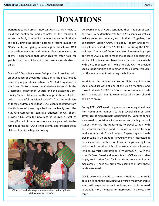### **DONATIONS**

**Donations** to OCA are an important way that OCA helps to build the confidence and character of the children it serves. In FY11, community members again outdid themselves by providing holiday gifts to a record number of OCA's clients, and giving monetary gifts that allowed OCA to provide meaningful and memorable experiences to its clients - experiences that other children often take for granted but that children in foster care are rarely able to enjoy.

Many of OCA's clients were "adopted" and provided with an abundance of thoughtful gifts during the FY11 holiday season by organizations such as the 9th Airlift Squadron of the Dover Air Force Base, the Christiana Rotary Club, the Crossroads Presbyterian Church, and the Eastpoint Community Church. Members of these organizations rallied to collect thoughtful, individualized gifts from the wish lists of these children, and 230 of OCA's clients benefited from the kindness of these organizations. A family from the KMC Girls Gymnastics Team also "adopted" an OCA client, providing him with the new bike he desired, as well as other gifts. All of these donations were a great help to the families caring for OCA's child clients, and enabled these children to enjoy a happier holiday.



OCA staff and friends prepare to deliver holiday gifts to children served by OCA

Delaware's Inns of Court continued their tradition of support to OCA by donating gifts for OCA's clients, as well as making generous monetary contributions. Together, the Bankruptcy, Melson-Arsht, Pro Bono, Rodney, and Terry-Carey Inns donated over \$2,000 to OCA during the FY11 holidays. The Inns of Court have been long-standing supporters of OCA's quest to make the holidays a special time for its child clients, and have now expanded their reach with these monetary gifts, which enable OCA to provide special opportunities and memories for children throughout the year, and not just during the holidays.

In addition, the Middletown Rotary Club invited OCA to speak about its work at one of the Club's meetings, and chose to donate \$1,000 for OCA to use to continue providing its clients with the life experiences all children should be able to enjoy.

During FY11, OCA used the generous monetary donations from community members to help several children take advantage of extraordinary opportunities. Donated funds were used to contribute to the expenses of a high school student who had the opportunity to travel to Italy with her school's marching band. OCA was also able to help fund a summer Air Force Academy Preparatory and Leadership Camp in Colorado for a young woman interested in pursuing a career with the Air Force after graduating from high school. Another high school student was able to attend an overnight competition in Wildwood, NJ, with the school's Color Guard and Indoor team. OCA was also able to pay registration fees for little league teams and summer camps. These are but a few examples of how these funds were used.

OCA is extremely grateful to the organizations that make it possible to continue providing Delaware's most vulnerable youth with experiences such as these, and looks forward to creating more memories for more youth in the years to come.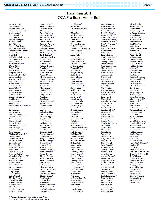Derek Abbott\* Jon Abramczyk\* Barbara Alexander Thomas Allingham, II\* Susan Ament\* Jeremy Anderson John Andrade\* Michael Arrington\* Christine Azar John Balaguer\* Jennifer Veet Barrett Matthew Bartkowski Jennifer Becnel-Guzzo\* Michael Bednash\* Sean Bellew Michelle Berkeley-Ayres A. Dean Betts, Jr. David Bever Shakuntla Bhaya\*\* David Bilson **Travis Bliss** Danielle Blount Megan Bombick Michael Bonkowski\* Arthur Bookout Courtney Bookout Mary Boudart\*\* Curtis Bounds<sup>\*\*</sup> Jennifer Brady\* John F. Brady\* Sean Brennecke Lori Brewington Allyson Britton Lisa Zwally Brown\* Paul Brown\* **Ryan Browning** Gary Bryde\*\* Michele Sherretta Budicak\* Jennifer Burbine Robert Burns **Emily Burton** Nicholas Caggiano, Jr. \* Justin Callaway Shannon Carmean Richard Carroll Meredith Carter Megan Ward Cascio\* Denis Casey\* Eileen Caulfield\* Shae Chasanov William Chipman, Jr.\* Jimmy Chong Joseph Christensen Daniel Ciarrocki Joseph Cicero\* Ryan Cicoski Lauren Cirrincione Delia Clark John A. Clark, III Miranda Clifton<sup>®</sup> C. Malcolm Cochran, IV\* Jacqueline Cohen Cynthia S. Collins\* Kevin Collins Patrick Collins\* Bernard Conaway\* Kelly Conlan Amy Coogan **Todd Coomes** Jason Cornell Keysha Council Victoria Counihan\* Santosh Coutinho Kristen Cramer **Brian Crawford** Tamika Crawl-Bev Laurence Cronin

Donna Culver\* Brian Cunningham Edward Curley\* Michael Custer Rachelle Cutrona Brock Czeschin\* James Dalle Pazze\* Bart Dalton\* **Steven Daniels** Catherine Dearlove Kim DeBonte\* Christine Demsey\*\* John X. Denney, Jr.\* Mark Desgrosseilliers Sarah DiLuzio\* Leslie Case DiPietro Nicole DiSalvo\* **Jill DiSciullo\*** Kevin Dobson **Anthony Dohring** Sean Dolan\* Melissa Donimirski Keith Donovan John T. Dorsey\* Meghan Dougherty Shawn Dougherty\*\* Thomas Driscoll\* James Drnec<sup>\*</sup> **Timothy Dudderar** Mary Dugan\* Bradley Eaby\* Edward Eaton\* Craig Eliassen\* John Ellis John Engel Margaret England\* Kenneth Enos\* David Facciolo Sherry Fallon\* Erin Fav Julie Finocchiaro Erin Fitzgerald Matthew Fogg\* Angela Fowler Ryan Frampton Robin Freeman **Stuart Fullerton** David Gagne Sean Gambogi Catherine Gaul\* Frances Gauthier\* Kathleen Geiger Kelly Dunn Gelof\* Melanie George\* Glynis Gibson\* Andrew Golian Andrew Gonser\* William Gonser, Jr.\* Todd Goodman\* Nancy Gorman Thomas Gorman **Ashley Gorodetzer** Brian Gottesman\* Erik Grandell William Green, Jr. Elissa Greenberg Reneta Green-Streett Daniel Griffith Christopher Griffiths Thomas Grimm\* Geoffrey Grivner Karen Grivner Jillian Grob Jerome Grossman\* Mark Gundersen\* Stephanie Habelow

#### Gerald Hager\* Patricia Hall Thomas Hanson, Jr.\* John G. Harris Edwin Harron\* Matthew Harvey Natalie Haskins<sup>®</sup> Susan Hauske\*\* Kevin Healv\* **Christian Heesters** Leslie Heilman\* Randolph K. Herndon, Jr. James Higgins Michelle Higgins Adam Hiller Eliza Hirst Michael Hoffman Victoria Hoffman Suzanne Hill Holly\* Melissa Hopkins Thomas Horan\* Eric Howard<sup>®</sup> Xiaojuan Huang Kelley Huff Amy Huffman David Hutt\* Diane Ibrahim\* Michael Isaacs\*\* Jennifer Jauffret\* David Jenkins\* Kathleen Jennings\* Clay Jester\* Erika Johnson Dawn Jones\* Lynn D. Jones Cory Kandestin Christine Kane Matthew Kaplan Jennifer Karpe Brian Kasprzak\* Lee Kaufman Lynn Kelly\* Felice Kerr\* Eleanor Kiesel\* Carla Kingery Julia Klein Gretchen Knight\*\* Nicholas Kondraschow Edward Kosmowski\* Nicholas Krayer Carl Kunz, III\* Danielle Kuzminski Gregory Ladner\* William Lafferty\* Kathryn Laffey' James Landon Karen Lantz Tara Lattomus\* Kimberly Lawson\* Lewis Lazarus\* Abigail LeGrow James Lennon\* Timothy Lennon James Levine Neal Levitsky\* Elizabeth Lewis\* Paul Lockwood **Gaston Loomis Richard Lyle** Sean Lynn Andrea Malinowski Kevin Mangan Margaret Manning Erin Mariani\* Michelle Marino\* Timothy Martin\* William Martin

Fiscal Year 2011 **OCA Pro Bono Honor Roll** 

> Dennis Mason TI\* Regina Matozzo Michael Maxwell Brenda Mayrack David McBride\* Garvan McDaniel\* Michael McDermott\* Thomas McDonough Matthew McGuire\* John McLaughlin, Jr.\* Marci McNair Carolyn McNeice\* Bruce McNew<sup>\*</sup> Rakesh Mehta Pamela Meitner Jennifer Mensinger\* Tanisha Merced Tammy Mercer James Merkins Christopher Messa Shari Milewski Stephen Milewski\* Kathleen Miller **Tiphanie Miller** Cynthia Moh Eric Monzo Sharon Morgan\* Stephen Morrow **Justin Morse** Gene Morton Kathleen Murphy Katherine Neikirk\* Michael Nestor **Ryan Newell** Maria Newill Maryellen Noreika\*\* Joshua Novak Amy O'Dell\* Elizabeth Olsen\* Jonathan O'Neill\* Susan Over\* Marla Palmer Maria Panichelli Pamela Park Jenness Parker\* Titania Mack Parker **Scott Perkins** Adam Perza<sup>\*</sup> **Marc Phillips** Sarah Pierce Tanya Pino\* Shana Pinter Mary Ann Plankinton\* Pamela Politis Karen Poppel Susan Poppiti\* Ciro Poppiti, III Thomas Preston\* Cynthia Pruitt Amy Quinlan Andrew Rahaim\* Leigh-Anne Raport Joseph Raskauskas Jillian Remming Richard Renck<sup>\*</sup> Andrew Rennick Sheldon Rennie\* Dana Reynolds Joseph Rhoades\*\* Linda Richenderfer\* Matthew Rifino David Ripsom\* Donald Roberts Sarah Roberts Andrea Rodgers Bruce Rogers\* Brian Rostocki

Michael Rushe Helena Rychlicki Morgan Sack Tamara Sampson\* R. Judson Scaggs Jr. Lisa Schmidt Jack Schreppler\* W. Wade W. Scott Dana Severance Chad Shandler James Sharp Thomas Shellenberger\*\* **Brian Shirey** James Shomper Tiffany Shrenk Jackson Shrum Sophia Siddiqui Deborah Spivack Leslie Spoltore\* Matthew Stachel Lisa Stark\* Kristopher Starr Amanda Steele Chad Stover Frederick Strickland William Sudell, Jr.\* Renee Suglia\* Karen Sullivan\* John J. Sullivan, Jr.\* Kara Swasey Scott Swenson\* Harry Tashjian, IV Gregory Taylor\* Laura Beth Taylor John H. Taylor, III\* David Teklits\* Marisa Terranova Mary Thomas Catherine Thompson\* Christina Thompson Seth Thompson\* Sara Toner **Bryan Townsend** Gary Traynor Anna Martina Tyreus Patricia Uhlenbrock<sup>\*</sup> William Ulrich Patrick Vanderslice\* Karen Vicks\* Matthew Vigunas Charles Vincent Jarrett Vine Kristi Vitola Nicole Walker\* Megan Rush Walstrom\* Matthew Ward Robert Weber<sup>\*</sup> Michael Weidinger\* Elizabeth Julian Weinig\* Benjamin C. Wetzel, III **Holly Whitney** Patricia Widdoss\* Chandra Williams David Williams\* Gregory Williams\* Brian Williamson Evan Williford\* Josiah Wolcott Natalie Wolf\* Rebecca Workman Christian Wright\* Davis Wright\* Daniel Young

Shauna Hagan\*